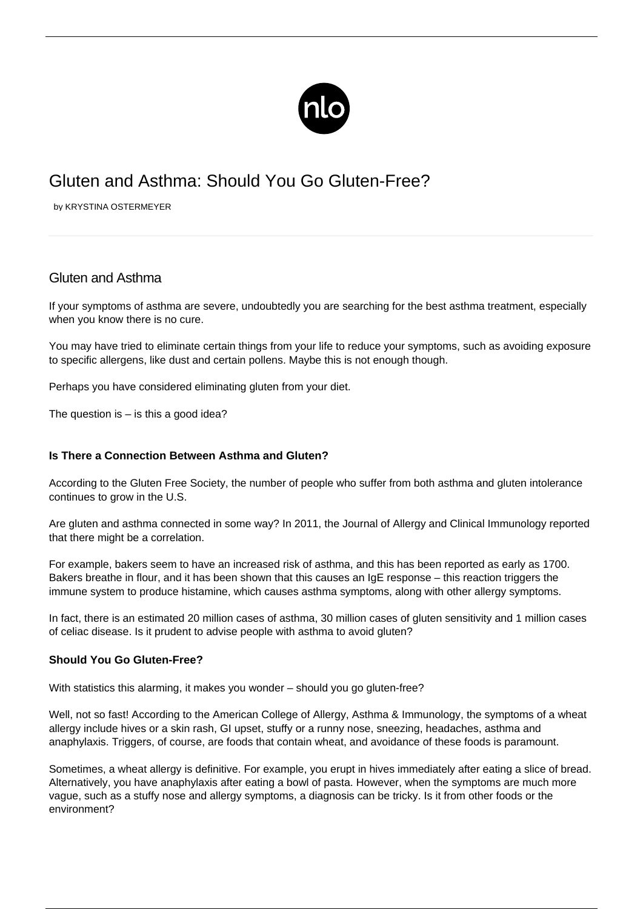

# Gluten and Asthma: Should You Go Gluten-Free?

by KRYSTINA OSTERMEYER

## Gluten and Asthma

If your symptoms of asthma are severe, undoubtedly you are searching for the best asthma treatment, especially when you know there is no cure.

You may have tried to eliminate certain things from your life to reduce your symptoms, such as avoiding [exposure](/asthma-allergies/) [to specific allergens](/asthma-allergies/), like dust and certain pollens. Maybe this is not enough though.

Perhaps you have considered eliminating gluten from your diet.

The question is  $-$  is this a good idea?

### **Is There a Connection Between Asthma and Gluten?**

According to the Gluten Free Society, the number of people who suffer from both asthma and gluten intolerance continues to grow in the U.S.

Are gluten and asthma connected in some way? In 2011, the Journal of Allergy and Clinical Immunology reported that there might be a correlation.

For example, bakers seem to have an increased risk of asthma, and this has been reported as early as 1700. Bakers breathe in flour, and it has been shown that this causes an IgE response – this reaction triggers the immune system to produce histamine, which causes asthma symptoms, along with other allergy symptoms.

In fact, there is an estimated 20 million cases of asthma, 30 million cases of gluten sensitivity and 1 million cases of celiac disease. Is it prudent to advise people with asthma to avoid gluten?

## **Should You Go Gluten-Free?**

With statistics this alarming, it makes you wonder – should you go gluten-free?

Well, not so fast! According to the American College of Allergy, Asthma & Immunology, the symptoms of a wheat allergy include hives or a skin rash, GI upset, stuffy or a runny nose, sneezing, headaches, asthma and anaphylaxis. Triggers, of course, are foods that contain wheat, and avoidance of these foods is paramount.

Sometimes, a wheat allergy is definitive. For example, you erupt in hives immediately after eating a slice of bread. Alternatively, you have anaphylaxis after eating a bowl of pasta. However, when the symptoms are much more vague, such as a stuffy nose and allergy symptoms, a diagnosis can be tricky. Is it from other foods or the environment?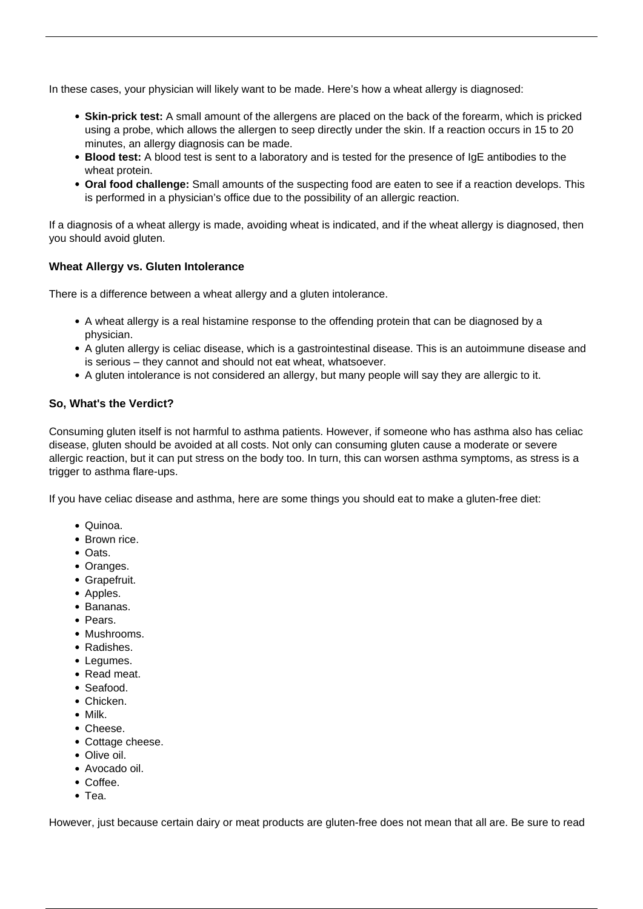In these cases, your physician will likely want to be made. Here's how a wheat allergy is diagnosed:

- **Skin-prick test:** A small amount of the allergens are placed on the back of the forearm, which is pricked using a probe, which allows the allergen to seep directly under the skin. If a reaction occurs in 15 to 20 minutes, an allergy diagnosis can be made.
- **Blood test:** A blood test is sent to a laboratory and is tested for the presence of IgE antibodies to the wheat protein.
- **Oral food challenge:** Small amounts of the suspecting food are eaten to see if a reaction develops. This is performed in a physician's office due to the possibility of an allergic reaction.

If a diagnosis of a wheat allergy is made, avoiding wheat is indicated, and if the wheat allergy is diagnosed, then you should avoid gluten.

### **Wheat Allergy vs. Gluten Intolerance**

There is a difference between a wheat allergy and a gluten intolerance.

- A wheat allergy is a real histamine response to the offending protein that can be diagnosed by a physician.
- A gluten allergy is celiac disease, which is a gastrointestinal disease. This is an autoimmune disease and is serious – they cannot and should not eat wheat, whatsoever.
- A gluten intolerance is not considered an allergy, but many people will say they are allergic to it.

### **So, What's the Verdict?**

Consuming gluten itself is not harmful to asthma patients. However, if someone who has asthma also has celiac disease, gluten should be avoided at all costs. Not only can consuming gluten cause a moderate or severe allergic reaction, but it can put stress on the body too. In turn, this can worsen asthma symptoms, as stress is a trigger to asthma flare-ups.

If you have celiac disease and asthma, here are some things you should eat to make a gluten-free diet:

- Quinoa.
- Brown rice.
- Oats.
- Oranges.
- Grapefruit.
- Apples.
- Bananas.
- Pears.
- Mushrooms.
- Radishes.
- Legumes.
- Read meat.
- Seafood.
- Chicken.
- Milk.
- Cheese.
- Cottage cheese.
- Olive oil.
- Avocado oil.
- Coffee.
- Tea.

However, just because certain dairy or meat products are gluten-free does not mean that all are. Be sure to read